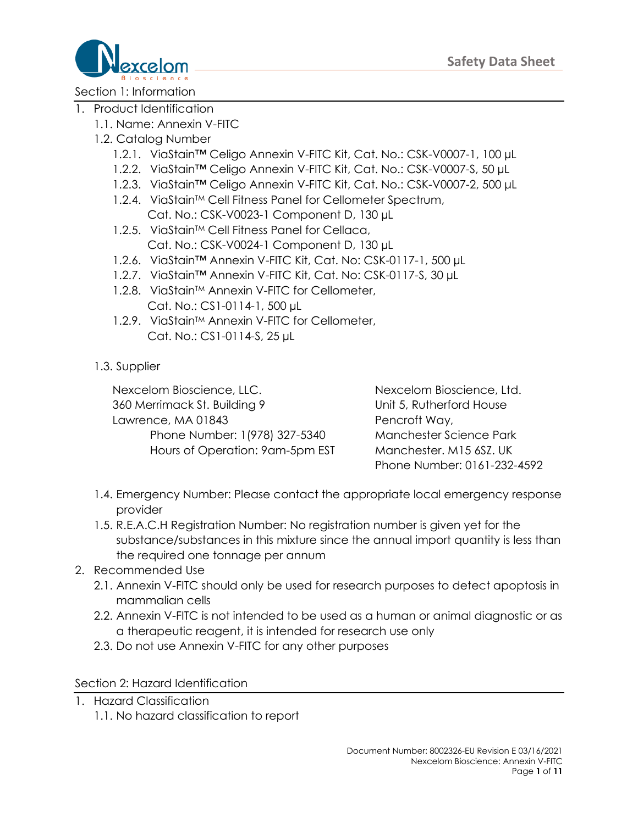

Section 1: Information

- 1. Product Identification
	- 1.1. Name: Annexin V-FITC
	- 1.2. Catalog Number
		- 1.2.1. ViaStain™ Celigo Annexin V-FITC Kit, Cat. No.: CSK-V0007-1, 100 µL
		- 1.2.2. ViaStain™ Celigo Annexin V-FITC Kit, Cat. No.: CSK-V0007-S, 50 µL
		- 1.2.3. ViaStain™ Celigo Annexin V-FITC Kit, Cat. No.: CSK-V0007-2, 500 μL
		- 1.2.4. ViaStain™ Cell Fitness Panel for Cellometer Spectrum, Cat. No.: CSK-V0023-1 Component D, 130 µL
		- 1.2.5. ViaStain™ Cell Fitness Panel for Cellaca, Cat. No.: CSK-V0024-1 Component D, 130 µL
		- 1.2.6. ViaStain™ Annexin V-FITC Kit, Cat. No: CSK-0117-1, 500 µL
		- 1.2.7. ViaStain™ Annexin V-FITC Kit, Cat. No: CSK-0117-S, 30 µL
		- 1.2.8. ViaStain<sup>™</sup> Annexin V-FITC for Cellometer, Cat. No.: CS1-0114-1, 500 µL
		- 1.2.9. ViaStain™ Annexin V-FITC for Cellometer, Cat. No.: CS1-0114-S, 25 µL
	- 1.3. Supplier

Nexcelom Bioscience, LLC. Nexcelom Bioscience, Ltd. 360 Merrimack St. Building 9 Unit 5, Rutherford House Lawrence, MA 01843 Pencroft Way, Phone Number: 1(978) 327-5340 Manchester Science Park Hours of Operation: 9am-5pm EST Manchester. M15 6SZ. UK

Phone Number: 0161-232-4592

- 1.4. Emergency Number: Please contact the appropriate local emergency response provider
- 1.5. R.E.A.C.H Registration Number: No registration number is given yet for the substance/substances in this mixture since the annual import quantity is less than the required one tonnage per annum

#### 2. Recommended Use

- 2.1. Annexin V-FITC should only be used for research purposes to detect apoptosis in mammalian cells
- 2.2. Annexin V-FITC is not intended to be used as a human or animal diagnostic or as a therapeutic reagent, it is intended for research use only
- 2.3. Do not use Annexin V-FITC for any other purposes

Section 2: Hazard Identification

- 1. Hazard Classification
	- 1.1. No hazard classification to report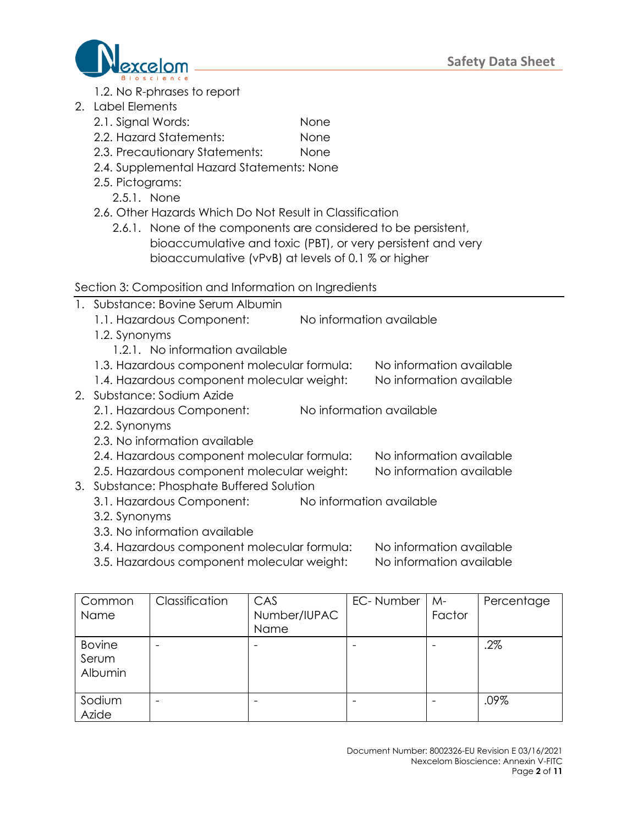

- 1.2. No R-phrases to report
- 2. Label Elements
	- 2.1. Signal Words: None
	- 2.2. Hazard Statements: None
	- 2.3. Precautionary Statements: None
	- 2.4. Supplemental Hazard Statements: None
	- 2.5. Pictograms:
		- 2.5.1. None
	- 2.6. Other Hazards Which Do Not Result in Classification
		- 2.6.1. None of the components are considered to be persistent, bioaccumulative and toxic (PBT), or very persistent and very bioaccumulative (vPvB) at levels of 0.1 % or higher

## Section 3: Composition and Information on Ingredients

- 1. Substance: Bovine Serum Albumin
	- 1.1. Hazardous Component: No information available
	- 1.2. Synonyms
		- 1.2.1. No information available
	- 1.3. Hazardous component molecular formula: No information available
- 1.4. Hazardous component molecular weight: No information available
- 2. Substance: Sodium Azide
	- 2.1. Hazardous Component: No information available
	- 2.2. Synonyms
	- 2.3. No information available
	- 2.4. Hazardous component molecular formula: No information available
	- 2.5. Hazardous component molecular weight: No information available
- 3. Substance: Phosphate Buffered Solution
	- 3.1. Hazardous Component: No information available
	- 3.2. Synonyms
	- 3.3. No information available
	- 3.4. Hazardous component molecular formula: No information available
	- 3.5. Hazardous component molecular weight: No information available

| Common<br>Name                    | Classification           | CAS<br>Number/IUPAC<br>Name | EC-Number | $M -$<br>Factor | Percentage |
|-----------------------------------|--------------------------|-----------------------------|-----------|-----------------|------------|
| <b>Bovine</b><br>Serum<br>Albumin |                          |                             |           |                 | .2%        |
| Sodium<br>Azide                   | $\overline{\phantom{0}}$ |                             |           |                 | .09%       |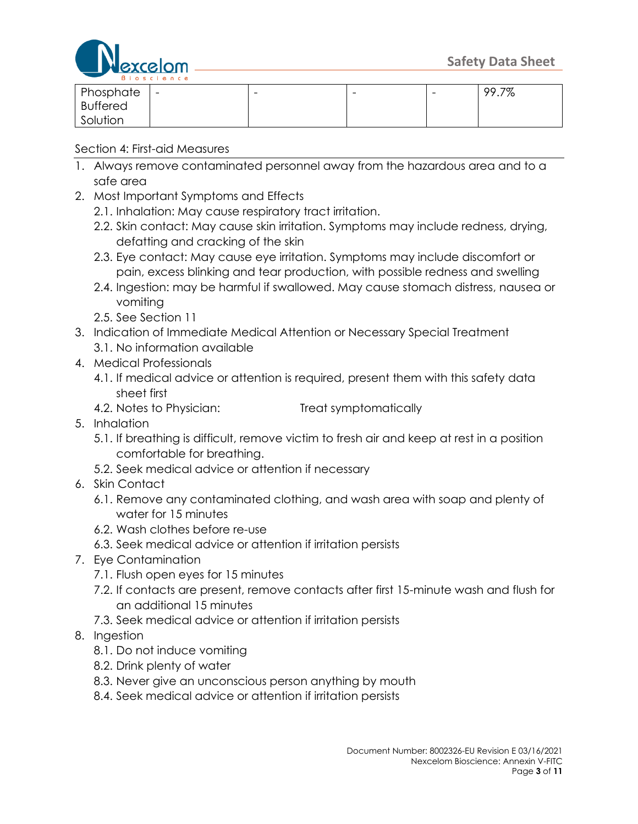

| .               |                          |   |   |   |       |
|-----------------|--------------------------|---|---|---|-------|
| Phosphate       | $\overline{\phantom{0}}$ | - | - | - | 99.7% |
| <b>Buffered</b> |                          |   |   |   |       |
| Solution        |                          |   |   |   |       |

### Section 4: First-aid Measures

- 1. Always remove contaminated personnel away from the hazardous area and to a safe area
- 2. Most Important Symptoms and Effects
	- 2.1. Inhalation: May cause respiratory tract irritation.
	- 2.2. Skin contact: May cause skin irritation. Symptoms may include redness, drying, defatting and cracking of the skin
	- 2.3. Eye contact: May cause eye irritation. Symptoms may include discomfort or pain, excess blinking and tear production, with possible redness and swelling
	- 2.4. Ingestion: may be harmful if swallowed. May cause stomach distress, nausea or vomiting
	- 2.5. See Section 11
- 3. Indication of Immediate Medical Attention or Necessary Special Treatment
	- 3.1. No information available
- 4. Medical Professionals
	- 4.1. If medical advice or attention is required, present them with this safety data sheet first
	- 4.2. Notes to Physician: Treat symptomatically
- 5. Inhalation
	- 5.1. If breathing is difficult, remove victim to fresh air and keep at rest in a position comfortable for breathing.
	- 5.2. Seek medical advice or attention if necessary
- 6. Skin Contact
	- 6.1. Remove any contaminated clothing, and wash area with soap and plenty of water for 15 minutes
	- 6.2. Wash clothes before re-use
	- 6.3. Seek medical advice or attention if irritation persists
- 7. Eye Contamination
	- 7.1. Flush open eyes for 15 minutes
	- 7.2. If contacts are present, remove contacts after first 15-minute wash and flush for an additional 15 minutes
	- 7.3. Seek medical advice or attention if irritation persists
- 8. Ingestion
	- 8.1. Do not induce vomiting
	- 8.2. Drink plenty of water
	- 8.3. Never give an unconscious person anything by mouth
	- 8.4. Seek medical advice or attention if irritation persists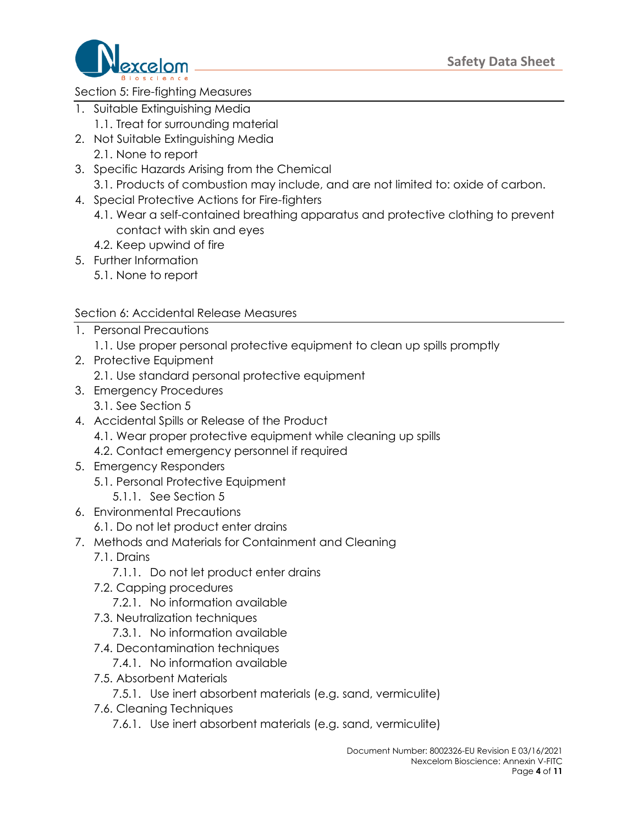

### Section 5: Fire-fighting Measures

- 1. Suitable Extinguishing Media
	- 1.1. Treat for surrounding material
- 2. Not Suitable Extinguishing Media 2.1. None to report
- 3. Specific Hazards Arising from the Chemical
	- 3.1. Products of combustion may include, and are not limited to: oxide of carbon.
- 4. Special Protective Actions for Fire-fighters
	- 4.1. Wear a self-contained breathing apparatus and protective clothing to prevent contact with skin and eyes
	- 4.2. Keep upwind of fire
- 5. Further Information
	- 5.1. None to report

### Section 6: Accidental Release Measures

- 1. Personal Precautions
	- 1.1. Use proper personal protective equipment to clean up spills promptly
- 2. Protective Equipment
	- 2.1. Use standard personal protective equipment
- 3. Emergency Procedures
	- 3.1. See Section 5
- 4. Accidental Spills or Release of the Product
	- 4.1. Wear proper protective equipment while cleaning up spills
	- 4.2. Contact emergency personnel if required
- 5. Emergency Responders
	- 5.1. Personal Protective Equipment
		- 5.1.1. See Section 5
- 6. Environmental Precautions
	- 6.1. Do not let product enter drains
- 7. Methods and Materials for Containment and Cleaning
	- 7.1. Drains
		- 7.1.1. Do not let product enter drains
	- 7.2. Capping procedures
		- 7.2.1. No information available
	- 7.3. Neutralization techniques
		- 7.3.1. No information available
	- 7.4. Decontamination techniques
		- 7.4.1. No information available
	- 7.5. Absorbent Materials
		- 7.5.1. Use inert absorbent materials (e.g. sand, vermiculite)
	- 7.6. Cleaning Techniques
		- 7.6.1. Use inert absorbent materials (e.g. sand, vermiculite)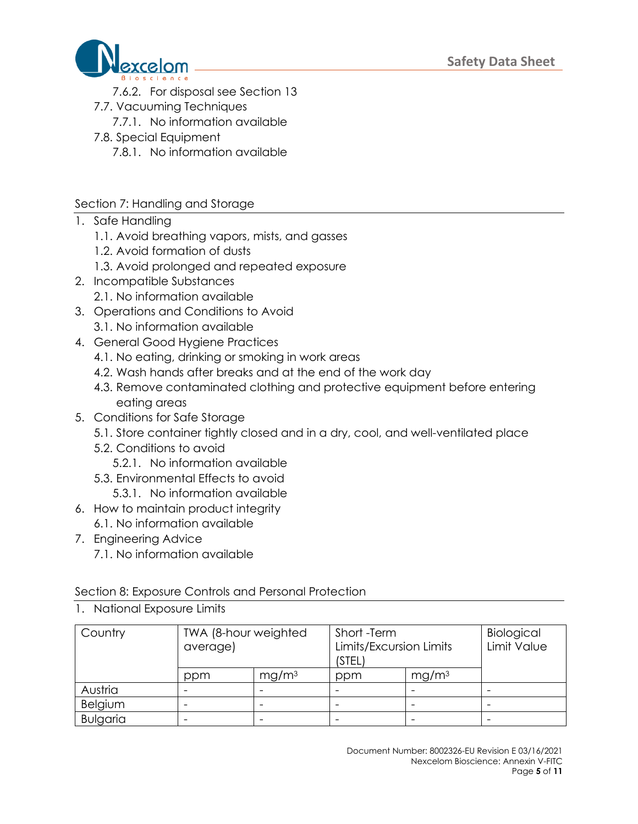

- 7.6.2. For disposal see Section 13
- 7.7. Vacuuming Techniques
	- 7.7.1. No information available
- 7.8. Special Equipment
	- 7.8.1. No information available

## Section 7: Handling and Storage

- 1. Safe Handling
	- 1.1. Avoid breathing vapors, mists, and gasses
	- 1.2. Avoid formation of dusts
	- 1.3. Avoid prolonged and repeated exposure
- 2. Incompatible Substances
	- 2.1. No information available
- 3. Operations and Conditions to Avoid 3.1. No information available
- 4. General Good Hygiene Practices
	- 4.1. No eating, drinking or smoking in work areas
	- 4.2. Wash hands after breaks and at the end of the work day
	- 4.3. Remove contaminated clothing and protective equipment before entering eating areas
- 5. Conditions for Safe Storage
	- 5.1. Store container tightly closed and in a dry, cool, and well-ventilated place
	- 5.2. Conditions to avoid
		- 5.2.1. No information available
	- 5.3. Environmental Effects to avoid
		- 5.3.1. No information available
- 6. How to maintain product integrity 6.1. No information available
- 7. Engineering Advice
	- 7.1. No information available

Section 8: Exposure Controls and Personal Protection

| Country         | TWA (8-hour weighted<br>average) |                   | Short -Term<br>Limits/Excursion Limits<br>(STEL) |                   | Biological<br>Limit Value |
|-----------------|----------------------------------|-------------------|--------------------------------------------------|-------------------|---------------------------|
|                 | ppm                              | mg/m <sup>3</sup> | ppm                                              | mg/m <sup>3</sup> |                           |
| Austria         |                                  |                   |                                                  |                   |                           |
| Belgium         |                                  |                   |                                                  |                   |                           |
| <b>Bulgaria</b> |                                  |                   |                                                  |                   |                           |

1. National Exposure Limits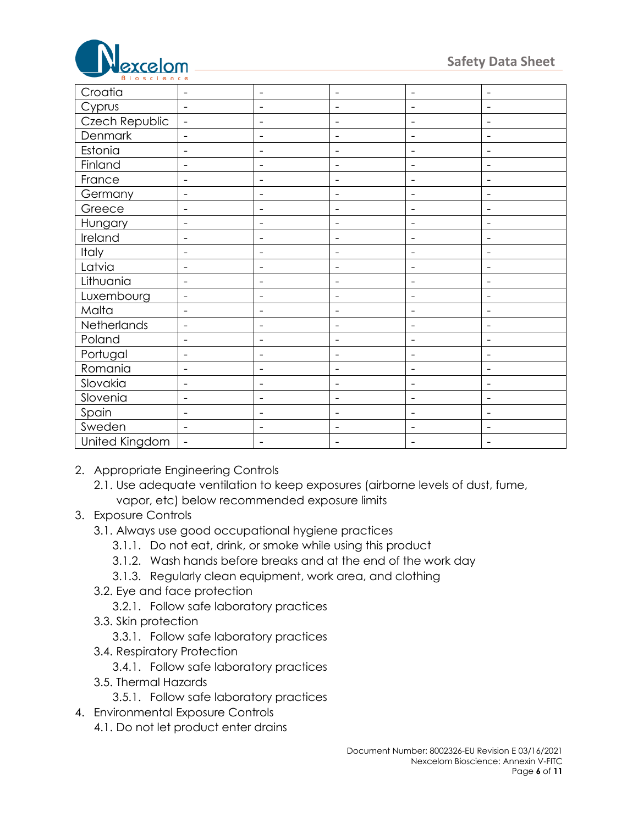

| Croatia        | $\overline{\phantom{a}}$ | $\qquad \qquad -$        | $\overline{\phantom{a}}$     | $\overline{\phantom{a}}$     | $\overline{\phantom{a}}$ |
|----------------|--------------------------|--------------------------|------------------------------|------------------------------|--------------------------|
| Cyprus         | $\blacksquare$           | $\overline{\phantom{a}}$ | $\blacksquare$               | $\qquad \qquad \blacksquare$ | $\overline{\phantom{a}}$ |
| Czech Republic | $\overline{\phantom{a}}$ | $\qquad \qquad -$        | $\overline{\phantom{a}}$     | $\qquad \qquad \blacksquare$ | $\overline{\phantom{a}}$ |
| Denmark        | $\blacksquare$           | $\overline{\phantom{0}}$ | $\overline{\phantom{a}}$     | $\qquad \qquad \blacksquare$ | $\overline{\phantom{a}}$ |
| Estonia        | $\overline{\phantom{a}}$ | $\qquad \qquad -$        | $\overline{\phantom{a}}$     | $\qquad \qquad \blacksquare$ | $\overline{\phantom{a}}$ |
| Finland        | $\overline{\phantom{0}}$ | $\qquad \qquad -$        | $\overline{\phantom{a}}$     | $\qquad \qquad \blacksquare$ | $\overline{\phantom{a}}$ |
| France         | $\overline{\phantom{0}}$ | $\qquad \qquad -$        | $\overline{\phantom{a}}$     | $\qquad \qquad -$            | $\overline{\phantom{a}}$ |
| Germany        | $\overline{\phantom{0}}$ | $\qquad \qquad -$        | $\overline{\phantom{a}}$     |                              |                          |
| Greece         | $\overline{\phantom{0}}$ | $\overline{\phantom{0}}$ | $\overline{\phantom{a}}$     | $\qquad \qquad -$            | $\overline{\phantom{0}}$ |
| Hungary        | $\qquad \qquad$          | -                        | ٠                            |                              |                          |
| Ireland        | $\qquad \qquad$          | -                        | $\qquad \qquad \blacksquare$ | $\qquad \qquad$              | $\overline{\phantom{0}}$ |
| Italy          | $\qquad \qquad$          | $\overline{\phantom{0}}$ |                              |                              |                          |
| Latvia         | $\qquad \qquad$          | -                        | $\qquad \qquad \blacksquare$ | $\qquad \qquad$              | $\overline{\phantom{a}}$ |
| Lithuania      | ۰                        | $\overline{\phantom{0}}$ |                              |                              |                          |
| Luxembourg     | $\overline{\phantom{a}}$ | $\qquad \qquad -$        | $\overline{\phantom{a}}$     | $\overline{\phantom{0}}$     | $\overline{\phantom{0}}$ |
| Malta          | $\overline{\phantom{0}}$ | $\qquad \qquad -$        |                              | ۰                            |                          |
| Netherlands    | $\overline{\phantom{a}}$ | -                        | $\overline{\phantom{a}}$     | $\qquad \qquad -$            | $\overline{\phantom{0}}$ |
| Poland         | $\overline{\phantom{0}}$ | $\overline{\phantom{0}}$ | $\qquad \qquad \blacksquare$ | $\qquad \qquad \blacksquare$ | $\overline{\phantom{a}}$ |
| Portugal       | $\blacksquare$           | $\qquad \qquad -$        | $\overline{\phantom{a}}$     | $\qquad \qquad \blacksquare$ | $\overline{\phantom{a}}$ |
| Romania        | $\overline{\phantom{a}}$ | $\qquad \qquad -$        | $\overline{\phantom{a}}$     | $\qquad \qquad \blacksquare$ | $\overline{\phantom{a}}$ |
| Slovakia       | $\blacksquare$           | $\overline{\phantom{0}}$ | $\blacksquare$               | $\qquad \qquad \blacksquare$ | $\blacksquare$           |
| Slovenia       | $\overline{\phantom{a}}$ | $\overline{\phantom{0}}$ | $\overline{\phantom{a}}$     | $\overline{\phantom{a}}$     | $\overline{\phantom{a}}$ |
| Spain          | $\overline{\phantom{a}}$ | $\overline{\phantom{0}}$ | $\overline{\phantom{a}}$     | $\overline{\phantom{a}}$     | $\overline{\phantom{a}}$ |
| Sweden         | $\blacksquare$           | $\overline{a}$           | $\overline{\phantom{a}}$     | $\qquad \qquad -$            | $\overline{\phantom{a}}$ |
| United Kingdom | $\overline{\phantom{a}}$ | -                        |                              |                              | $\overline{\phantom{a}}$ |

2. Appropriate Engineering Controls

2.1. Use adequate ventilation to keep exposures (airborne levels of dust, fume, vapor, etc) below recommended exposure limits

- 3. Exposure Controls
	- 3.1. Always use good occupational hygiene practices
		- 3.1.1. Do not eat, drink, or smoke while using this product
		- 3.1.2. Wash hands before breaks and at the end of the work day
		- 3.1.3. Regularly clean equipment, work area, and clothing
	- 3.2. Eye and face protection
		- 3.2.1. Follow safe laboratory practices
	- 3.3. Skin protection
		- 3.3.1. Follow safe laboratory practices
	- 3.4. Respiratory Protection
		- 3.4.1. Follow safe laboratory practices
	- 3.5. Thermal Hazards
		- 3.5.1. Follow safe laboratory practices
- 4. Environmental Exposure Controls
	- 4.1. Do not let product enter drains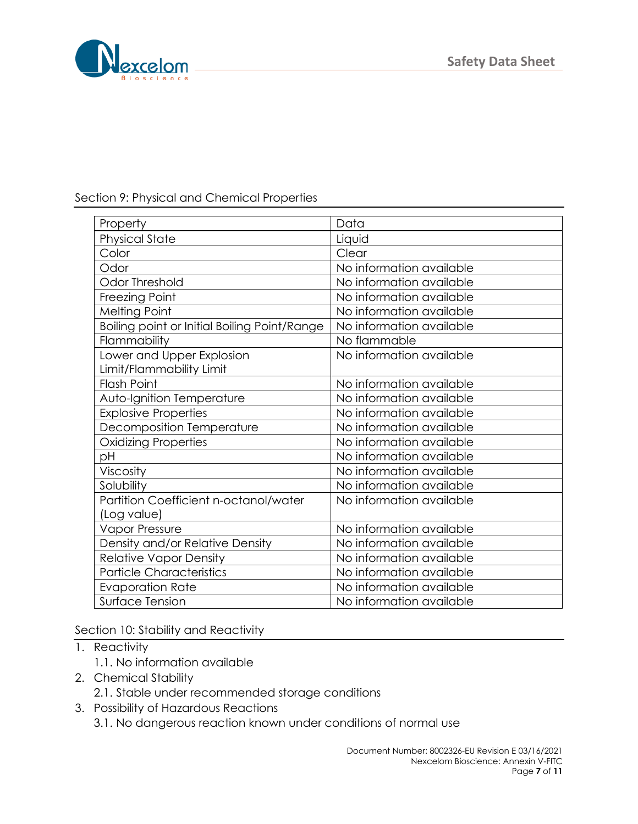

## Section 9: Physical and Chemical Properties

| Property                                     | Data                     |
|----------------------------------------------|--------------------------|
| <b>Physical State</b>                        | Liquid                   |
| Color                                        | Clear                    |
| Odor                                         | No information available |
| Odor Threshold                               | No information available |
| Freezing Point                               | No information available |
| <b>Melting Point</b>                         | No information available |
| Boiling point or Initial Boiling Point/Range | No information available |
| Flammability                                 | No flammable             |
| Lower and Upper Explosion                    | No information available |
| Limit/Flammability Limit                     |                          |
| <b>Flash Point</b>                           | No information available |
| Auto-Ignition Temperature                    | No information available |
| <b>Explosive Properties</b>                  | No information available |
| Decomposition Temperature                    | No information available |
| <b>Oxidizing Properties</b>                  | No information available |
| рH                                           | No information available |
| Viscosity                                    | No information available |
| Solubility                                   | No information available |
| Partition Coefficient n-octanol/water        | No information available |
| (Log value)                                  |                          |
| Vapor Pressure                               | No information available |
| Density and/or Relative Density              | No information available |
| <b>Relative Vapor Density</b>                | No information available |
| <b>Particle Characteristics</b>              | No information available |
| <b>Evaporation Rate</b>                      | No information available |
| <b>Surface Tension</b>                       | No information available |

Section 10: Stability and Reactivity

- 1. Reactivity
	- 1.1. No information available
- 2. Chemical Stability
	- 2.1. Stable under recommended storage conditions
- 3. Possibility of Hazardous Reactions
	- 3.1. No dangerous reaction known under conditions of normal use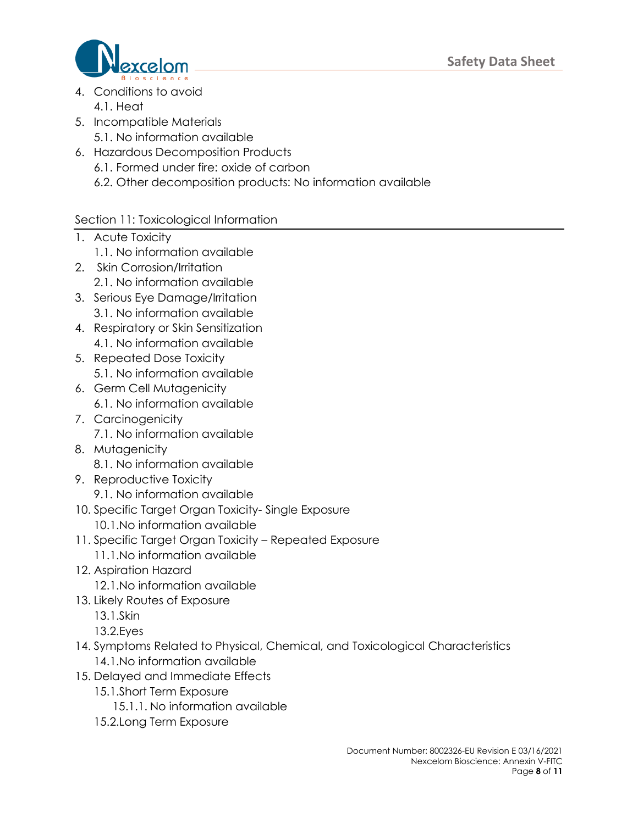

- 4. Conditions to avoid 4.1. Heat
- 5. Incompatible Materials
	- 5.1. No information available
- 6. Hazardous Decomposition Products
	- 6.1. Formed under fire: oxide of carbon
	- 6.2. Other decomposition products: No information available

# Section 11: Toxicological Information

- 1. Acute Toxicity
	- 1.1. No information available
- 2. Skin Corrosion/Irritation
	- 2.1. No information available
- 3. Serious Eye Damage/Irritation 3.1. No information available
- 4. Respiratory or Skin Sensitization 4.1. No information available
- 5. Repeated Dose Toxicity 5.1. No information available
- 6. Germ Cell Mutagenicity 6.1. No information available
- 7. Carcinogenicity 7.1. No information available
- 8. Mutagenicity 8.1. No information available
- 9. Reproductive Toxicity
	- 9.1. No information available
- 10. Specific Target Organ Toxicity- Single Exposure 10.1.No information available
- 11. Specific Target Organ Toxicity Repeated Exposure
	- 11.1.No information available
- 12. Aspiration Hazard
	- 12.1.No information available
- 13. Likely Routes of Exposure
	- 13.1.Skin
	- 13.2.Eyes
- 14. Symptoms Related to Physical, Chemical, and Toxicological Characteristics 14.1.No information available
- 15. Delayed and Immediate Effects
	- 15.1.Short Term Exposure
		- 15.1.1. No information available
	- 15.2.Long Term Exposure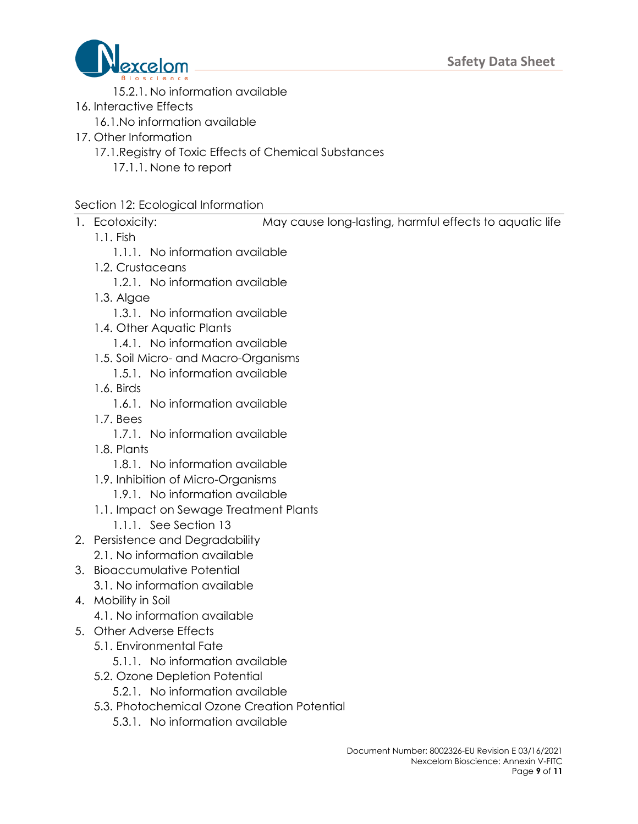

- 15.2.1. No information available
- 16. Interactive Effects
	- 16.1.No information available
- 17. Other Information
	- 17.1.Registry of Toxic Effects of Chemical Substances
		- 17.1.1. None to report

### Section 12: Ecological Information

- - 1.1. Fish

1. Ecotoxicity: May cause long-lasting, harmful effects to aquatic life

- 
- 1.1.1. No information available
- 1.2. Crustaceans
	- 1.2.1. No information available
- 1.3. Algae
	- 1.3.1. No information available
- 1.4. Other Aquatic Plants
	- 1.4.1. No information available
- 1.5. Soil Micro- and Macro-Organisms
	- 1.5.1. No information available
- 1.6. Birds
	- 1.6.1. No information available
- 1.7. Bees
	- 1.7.1. No information available
- 1.8. Plants
	- 1.8.1. No information available
- 1.9. Inhibition of Micro-Organisms
	- 1.9.1. No information available
- 1.1. Impact on Sewage Treatment Plants
	- 1.1.1. See Section 13
- 2. Persistence and Degradability
	- 2.1. No information available
- 3. Bioaccumulative Potential
	- 3.1. No information available
- 4. Mobility in Soil
	- 4.1. No information available
- 5. Other Adverse Effects
	- 5.1. Environmental Fate
		- 5.1.1. No information available
	- 5.2. Ozone Depletion Potential
		- 5.2.1. No information available
	- 5.3. Photochemical Ozone Creation Potential
		- 5.3.1. No information available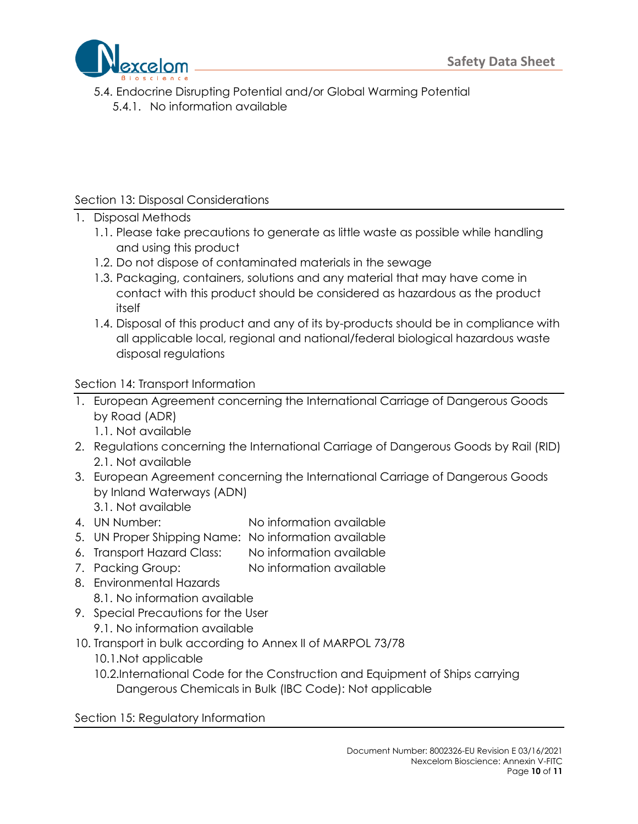

5.4. Endocrine Disrupting Potential and/or Global Warming Potential 5.4.1. No information available

## Section 13: Disposal Considerations

- 1. Disposal Methods
	- 1.1. Please take precautions to generate as little waste as possible while handling and using this product
	- 1.2. Do not dispose of contaminated materials in the sewage
	- 1.3. Packaging, containers, solutions and any material that may have come in contact with this product should be considered as hazardous as the product itself
	- 1.4. Disposal of this product and any of its by-products should be in compliance with all applicable local, regional and national/federal biological hazardous waste disposal regulations

### Section 14: Transport Information

- 1. European Agreement concerning the International Carriage of Dangerous Goods by Road (ADR)
	- 1.1. Not available
- 2. Regulations concerning the International Carriage of Dangerous Goods by Rail (RID) 2.1. Not available
- 3. European Agreement concerning the International Carriage of Dangerous Goods by Inland Waterways (ADN)
	- 3.1. Not available
- 4. UN Number: No information available
- 5. UN Proper Shipping Name: No information available
- 6. Transport Hazard Class: No information available
- 7. Packing Group: No information available
- 8. Environmental Hazards
	- 8.1. No information available
- 9. Special Precautions for the User
	- 9.1. No information available
- 10. Transport in bulk according to Annex II of MARPOL 73/78
	- 10.1.Not applicable
	- 10.2.International Code for the Construction and Equipment of Ships carrying Dangerous Chemicals in Bulk (IBC Code): Not applicable

Section 15: Regulatory Information